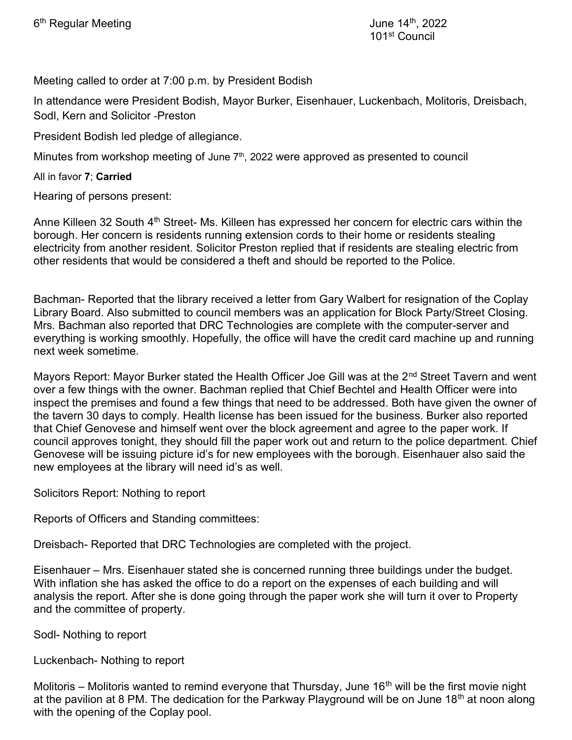Meeting called to order at 7:00 p.m. by President Bodish

In attendance were President Bodish, Mayor Burker, Eisenhauer, Luckenbach, Molitoris, Dreisbach, Sodl, Kern and Solicitor -Preston

President Bodish led pledge of allegiance.

Minutes from workshop meeting of June  $7<sup>th</sup>$ , 2022 were approved as presented to council

All in favor 7; Carried

Hearing of persons present:

Anne Killeen 32 South 4<sup>th</sup> Street- Ms. Killeen has expressed her concern for electric cars within the borough. Her concern is residents running extension cords to their home or residents stealing electricity from another resident. Solicitor Preston replied that if residents are stealing electric from other residents that would be considered a theft and should be reported to the Police.

Bachman- Reported that the library received a letter from Gary Walbert for resignation of the Coplay Library Board. Also submitted to council members was an application for Block Party/Street Closing. Mrs. Bachman also reported that DRC Technologies are complete with the computer-server and everything is working smoothly. Hopefully, the office will have the credit card machine up and running next week sometime.

Mayors Report: Mayor Burker stated the Health Officer Joe Gill was at the 2<sup>nd</sup> Street Tavern and went over a few things with the owner. Bachman replied that Chief Bechtel and Health Officer were into inspect the premises and found a few things that need to be addressed. Both have given the owner of the tavern 30 days to comply. Health license has been issued for the business. Burker also reported that Chief Genovese and himself went over the block agreement and agree to the paper work. If council approves tonight, they should fill the paper work out and return to the police department. Chief Genovese will be issuing picture id's for new employees with the borough. Eisenhauer also said the new employees at the library will need id's as well.

Solicitors Report: Nothing to report

Reports of Officers and Standing committees:

Dreisbach- Reported that DRC Technologies are completed with the project.

Eisenhauer – Mrs. Eisenhauer stated she is concerned running three buildings under the budget. With inflation she has asked the office to do a report on the expenses of each building and will analysis the report. After she is done going through the paper work she will turn it over to Property and the committee of property.

Sodl- Nothing to report

Luckenbach- Nothing to report

Molitoris – Molitoris wanted to remind everyone that Thursday, June 16<sup>th</sup> will be the first movie night at the pavilion at 8 PM. The dedication for the Parkway Playground will be on June 18<sup>th</sup> at noon along with the opening of the Coplay pool.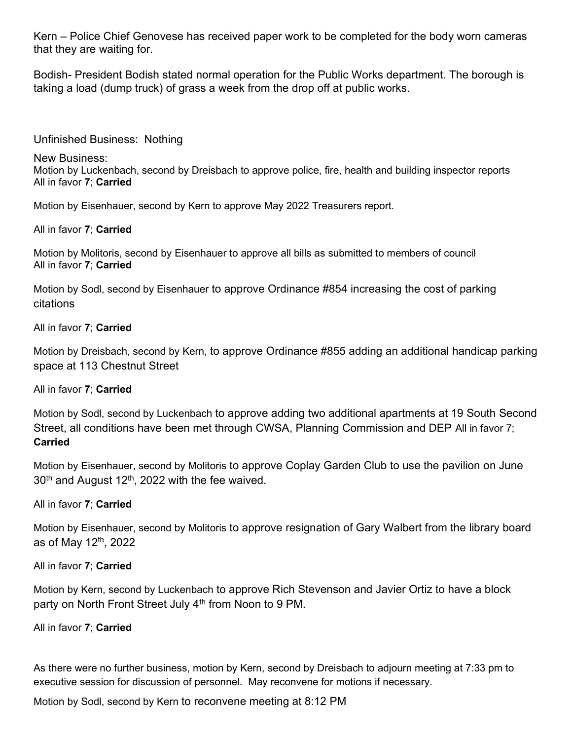Kern – Police Chief Genovese has received paper work to be completed for the body worn cameras that they are waiting for.

Bodish- President Bodish stated normal operation for the Public Works department. The borough is taking a load (dump truck) of grass a week from the drop off at public works.

Unfinished Business: Nothing

New Business: Motion by Luckenbach, second by Dreisbach to approve police, fire, health and building inspector reports All in favor 7; Carried

Motion by Eisenhauer, second by Kern to approve May 2022 Treasurers report.

All in favor 7; Carried

Motion by Molitoris, second by Eisenhauer to approve all bills as submitted to members of council All in favor 7; Carried

Motion by Sodl, second by Eisenhauer to approve Ordinance #854 increasing the cost of parking citations

All in favor 7; Carried

Motion by Dreisbach, second by Kern, to approve Ordinance #855 adding an additional handicap parking space at 113 Chestnut Street

All in favor 7; Carried

Motion by Sodl, second by Luckenbach to approve adding two additional apartments at 19 South Second Street, all conditions have been met through CWSA, Planning Commission and DEP All in favor 7; Carried

Motion by Eisenhauer, second by Molitoris to approve Coplay Garden Club to use the pavilion on June  $30<sup>th</sup>$  and August 12<sup>th</sup>, 2022 with the fee waived.

## All in favor 7; Carried

Motion by Eisenhauer, second by Molitoris to approve resignation of Gary Walbert from the library board as of May  $12<sup>th</sup>$ , 2022

All in favor 7; Carried

Motion by Kern, second by Luckenbach to approve Rich Stevenson and Javier Ortiz to have a block party on North Front Street July 4<sup>th</sup> from Noon to 9 PM.

## All in favor 7; Carried

As there were no further business, motion by Kern, second by Dreisbach to adjourn meeting at 7:33 pm to executive session for discussion of personnel. May reconvene for motions if necessary.

Motion by Sodl, second by Kern to reconvene meeting at 8:12 PM